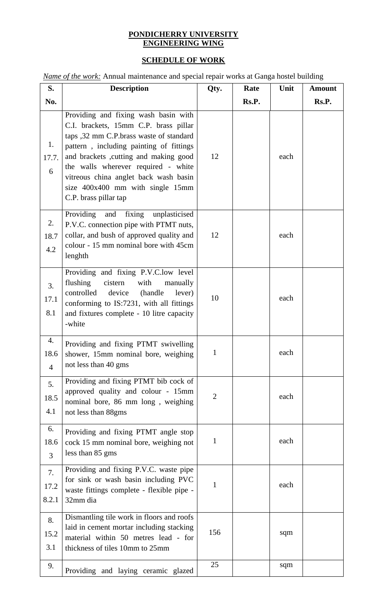## **PONDICHERRY UNIVERSITY ENGINEERING WING**

## **SCHEDULE OF WORK**

*Name of the work:* Annual maintenance and special repair works at Ganga hostel building

| S.                           | <b>Description</b>                                                                                                                                                                                                                                                                                                                                        | Qty.           | Rate  | Unit | <b>Amount</b> |
|------------------------------|-----------------------------------------------------------------------------------------------------------------------------------------------------------------------------------------------------------------------------------------------------------------------------------------------------------------------------------------------------------|----------------|-------|------|---------------|
| No.                          |                                                                                                                                                                                                                                                                                                                                                           |                | Rs.P. |      | Rs.P.         |
| 1.<br>17.7.<br>6             | Providing and fixing wash basin with<br>C.I. brackets, 15mm C.P. brass pillar<br>taps ,32 mm C.P.brass waste of standard<br>pattern, including painting of fittings<br>and brackets ,cutting and making good<br>the walls wherever required - white<br>vitreous china anglet back wash basin<br>size 400x400 mm with single 15mm<br>C.P. brass pillar tap | 12             |       | each |               |
| 2.<br>18.7<br>4.2            | and fixing unplasticised<br>Providing<br>P.V.C. connection pipe with PTMT nuts,<br>collar, and bush of approved quality and<br>colour - 15 mm nominal bore with 45cm<br>lenghth                                                                                                                                                                           | 12             |       | each |               |
| 3.<br>17.1<br>8.1            | Providing and fixing P.V.C.low level<br>flushing<br>cistern<br>with<br>manually<br>controlled<br>device<br>(handle)<br>lever)<br>conforming to IS:7231, with all fittings<br>and fixtures complete - 10 litre capacity<br>-white                                                                                                                          | 10             |       | each |               |
| 4.<br>18.6<br>$\overline{4}$ | Providing and fixing PTMT swivelling<br>shower, 15mm nominal bore, weighing<br>not less than 40 gms                                                                                                                                                                                                                                                       | $\mathbf{I}$   |       | each |               |
| 5.<br>18.5<br>4.1            | Providing and fixing PTMT bib cock of<br>approved quality and colour - 15mm<br>nominal bore, 86 mm long, weighing<br>not less than 88gms                                                                                                                                                                                                                  | $\overline{2}$ |       | each |               |
| 6.<br>18.6<br>3              | Providing and fixing PTMT angle stop<br>cock 15 mm nominal bore, weighing not<br>less than 85 gms                                                                                                                                                                                                                                                         | 1              |       | each |               |
| 7.<br>17.2<br>8.2.1          | Providing and fixing P.V.C. waste pipe<br>for sink or wash basin including PVC<br>waste fittings complete - flexible pipe -<br>32mm dia                                                                                                                                                                                                                   | 1              |       | each |               |
| 8.<br>15.2<br>3.1            | Dismantling tile work in floors and roofs<br>laid in cement mortar including stacking<br>material within 50 metres lead - for<br>thickness of tiles 10mm to 25mm                                                                                                                                                                                          | 156            |       | sqm  |               |
| 9.                           | Providing and laying ceramic glazed                                                                                                                                                                                                                                                                                                                       | 25             |       | sqm  |               |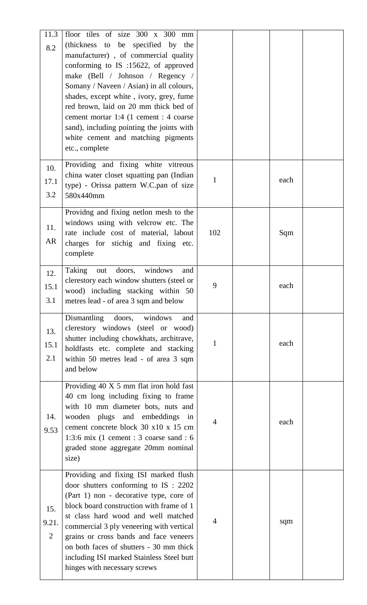| 11.3<br>8.2                    | floor tiles of size 300 x 300 mm<br>(thickness to be specified by the<br>manufacturer), of commercial quality<br>conforming to IS :15622, of approved<br>make (Bell / Johnson / Regency /<br>Somany / Naveen / Asian) in all colours,<br>shades, except white, ivory, grey, fume<br>red brown, laid on 20 mm thick bed of<br>cement mortar 1:4 (1 cement : 4 coarse<br>sand), including pointing the joints with<br>white cement and matching pigments<br>etc., complete |                |      |  |
|--------------------------------|--------------------------------------------------------------------------------------------------------------------------------------------------------------------------------------------------------------------------------------------------------------------------------------------------------------------------------------------------------------------------------------------------------------------------------------------------------------------------|----------------|------|--|
| 10.<br>17.1<br>3.2             | Providing and fixing white vitreous<br>china water closet squatting pan (Indian<br>type) - Orissa pattern W.C.pan of size<br>580x440mm                                                                                                                                                                                                                                                                                                                                   | 1              | each |  |
| 11.<br>AR                      | Providng and fixing netlon mesh to the<br>windows using with velcrow etc. The<br>rate include cost of material, labout<br>charges for stichig and fixing etc.<br>complete                                                                                                                                                                                                                                                                                                | 102            | Sqm  |  |
| 12.<br>15.1<br>3.1             | windows<br>Taking<br>doors,<br>out<br>and<br>clerestory each window shutters (steel or<br>wood) including stacking within 50<br>metres lead - of area 3 sqm and below                                                                                                                                                                                                                                                                                                    | 9              | each |  |
| 13.<br>15.1<br>2.1             | Dismantling<br>doors,<br>windows<br>and<br>clerestory windows (steel or wood)<br>shutter including chowkhats, architrave,<br>holdfasts etc. complete and stacking<br>within 50 metres lead - of area 3 sqm<br>and below                                                                                                                                                                                                                                                  | 1              | each |  |
| 14.<br>9.53                    | Providing 40 X 5 mm flat iron hold fast<br>40 cm long including fixing to frame<br>with 10 mm diameter bots, nuts and<br>wooden plugs and embeddings in<br>cement concrete block 30 x10 x 15 cm<br>1:3:6 mix (1 cement : 3 coarse sand : 6<br>graded stone aggregate 20mm nominal<br>size)                                                                                                                                                                               | 4              | each |  |
| 15.<br>9.21.<br>$\overline{2}$ | Providing and fixing ISI marked flush<br>door shutters conforming to IS : 2202<br>(Part 1) non - decorative type, core of<br>block board construction with frame of 1<br>st class hard wood and well matched<br>commercial 3 ply veneering with vertical<br>grains or cross bands and face veneers<br>on both faces of shutters - 30 mm thick<br>including ISI marked Stainless Steel butt<br>hinges with necessary screws                                               | $\overline{4}$ | sqm  |  |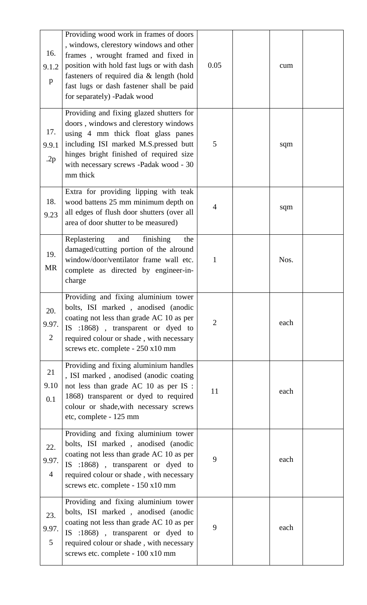| 16.<br>9.1.2<br>p              | Providing wood work in frames of doors<br>, windows, clerestory windows and other<br>frames, wrought framed and fixed in<br>position with hold fast lugs or with dash<br>fasteners of required dia & length (hold<br>fast lugs or dash fastener shall be paid<br>for separately) -Padak wood | 0.05           | cum  |  |
|--------------------------------|----------------------------------------------------------------------------------------------------------------------------------------------------------------------------------------------------------------------------------------------------------------------------------------------|----------------|------|--|
| 17.<br>9.9.1<br>.2p            | Providing and fixing glazed shutters for<br>doors, windows and clerestory windows<br>using 4 mm thick float glass panes<br>including ISI marked M.S. pressed butt<br>hinges bright finished of required size<br>with necessary screws -Padak wood - 30<br>mm thick                           | 5              | sqm  |  |
| 18.<br>9.23                    | Extra for providing lipping with teak<br>wood battens 25 mm minimum depth on<br>all edges of flush door shutters (over all<br>area of door shutter to be measured)                                                                                                                           | $\overline{4}$ | sqm  |  |
| 19.<br>MR                      | Replastering<br>and<br>finishing<br>the<br>damaged/cutting portion of the alround<br>window/door/ventilator frame wall etc.<br>complete as directed by engineer-in-<br>charge                                                                                                                | 1              | Nos. |  |
| 20.<br>9.97.<br>$\overline{2}$ | Providing and fixing aluminium tower<br>bolts, ISI marked, anodised (anodic<br>coating not less than grade AC 10 as per<br>IS :1868), transparent or dyed to<br>required colour or shade, with necessary<br>screws etc. complete - 250 x10 mm                                                | $\overline{2}$ | each |  |
| 21<br>9.10<br>0.1              | Providing and fixing aluminium handles<br>, ISI marked, anodised (anodic coating<br>not less than grade AC 10 as per IS :<br>1868) transparent or dyed to required<br>colour or shade, with necessary screws<br>etc, complete - 125 mm                                                       | 11             | each |  |
| 22.<br>9.97.<br>$\overline{4}$ | Providing and fixing aluminium tower<br>bolts, ISI marked, anodised (anodic<br>coating not less than grade AC 10 as per<br>IS :1868), transparent or dyed to<br>required colour or shade, with necessary<br>screws etc. complete - 150 x10 mm                                                | 9              | each |  |
| 23.<br>9.97.<br>5              | Providing and fixing aluminium tower<br>bolts, ISI marked, anodised (anodic<br>coating not less than grade AC 10 as per<br>IS :1868), transparent or dyed to<br>required colour or shade, with necessary<br>screws etc. complete - 100 x10 mm                                                | 9              | each |  |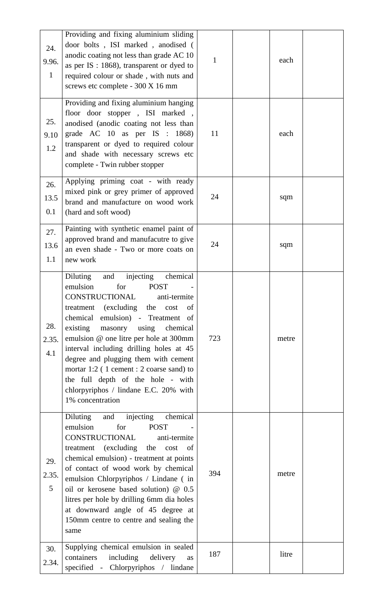| 24.<br>9.96.<br>$\mathbf{1}$ | Providing and fixing aluminium sliding<br>door bolts, ISI marked, anodised (<br>anodic coating not less than grade AC 10<br>as per IS : 1868), transparent or dyed to<br>required colour or shade, with nuts and<br>screws etc complete - 300 X 16 mm                                                                                                                                                                                                                                                       | $\mathbf{1}$ | each  |  |
|------------------------------|-------------------------------------------------------------------------------------------------------------------------------------------------------------------------------------------------------------------------------------------------------------------------------------------------------------------------------------------------------------------------------------------------------------------------------------------------------------------------------------------------------------|--------------|-------|--|
| 25.<br>9.10<br>1.2           | Providing and fixing aluminium hanging<br>floor door stopper, ISI marked,<br>anodised (anodic coating not less than<br>grade AC $10$ as per IS : $1868$ )<br>transparent or dyed to required colour<br>and shade with necessary screws etc<br>complete - Twin rubber stopper                                                                                                                                                                                                                                | 11           | each  |  |
| 26.<br>13.5<br>0.1           | Applying priming coat - with ready<br>mixed pink or grey primer of approved<br>brand and manufacture on wood work<br>(hard and soft wood)                                                                                                                                                                                                                                                                                                                                                                   | 24           | sqm   |  |
| 27.<br>13.6<br>1.1           | Painting with synthetic enamel paint of<br>approved brand and manufacutre to give<br>an even shade - Two or more coats on<br>new work                                                                                                                                                                                                                                                                                                                                                                       | 24           | sqm   |  |
| 28.<br>2.35.<br>4.1          | chemical<br>Diluting<br>injecting<br>and<br>emulsion<br>for<br><b>POST</b><br>CONSTRUCTIONAL anti-termite<br>treatment (excluding the<br>cost<br>of<br>chemical emulsion) - Treatment of<br>existing masonry using<br>chemical<br>emulsion @ one litre per hole at 300mm<br>interval including drilling holes at 45<br>degree and plugging them with cement<br>mortar $1:2$ (1 cement : 2 coarse sand) to<br>the full depth of the hole - with<br>chlorpyriphos / lindane E.C. 20% with<br>1% concentration | 723          | metre |  |
| 29.<br>2.35.<br>5            | chemical<br>injecting<br>Diluting<br>and<br>emulsion<br><b>POST</b><br>for<br>CONSTRUCTIONAL<br>anti-termite<br>treatment (excluding<br>the cost of<br>chemical emulsion) - treatment at points<br>of contact of wood work by chemical<br>emulsion Chlorpyriphos / Lindane (in<br>oil or kerosene based solution) @ 0.5<br>litres per hole by drilling 6mm dia holes<br>at downward angle of 45 degree at<br>150mm centre to centre and sealing the<br>same                                                 | 394          | metre |  |
| 30.<br>2.34.                 | Supplying chemical emulsion in sealed<br>including<br>containers<br>delivery<br>as<br>specified - Chlorpyriphos / lindane                                                                                                                                                                                                                                                                                                                                                                                   | 187          | litre |  |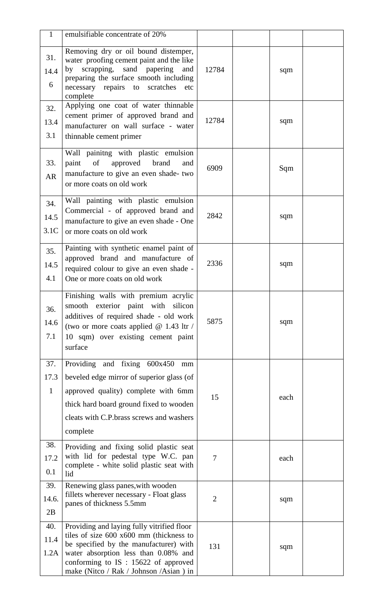| $\mathbf{1}$                | emulsifiable concentrate of 20%                                                                                                                                                                                                                               |                |      |  |
|-----------------------------|---------------------------------------------------------------------------------------------------------------------------------------------------------------------------------------------------------------------------------------------------------------|----------------|------|--|
| 31.<br>14.4<br>6            | Removing dry or oil bound distemper,<br>water proofing cement paint and the like<br>sand papering and<br>by scrapping,<br>preparing the surface smooth including<br>necessary repairs to<br>scratches<br>etc<br>complete                                      | 12784          | sqm  |  |
| 32.<br>13.4<br>3.1          | Applying one coat of water thinnable<br>cement primer of approved brand and<br>manufacturer on wall surface - water<br>thinnable cement primer                                                                                                                | 12784          | sqm  |  |
| 33.<br><b>AR</b>            | Wall painitng with plastic emulsion<br><sub>of</sub><br>approved<br>brand<br>paint<br>and<br>manufacture to give an even shade- two<br>or more coats on old work                                                                                              | 6909           | Sqm  |  |
| 34.<br>14.5<br>3.1C         | Wall painting with plastic emulsion<br>Commercial - of approved brand and<br>manufacture to give an even shade - One<br>or more coats on old work                                                                                                             | 2842           | sqm  |  |
| 35.<br>14.5<br>4.1          | Painting with synthetic enamel paint of<br>approved brand and manufacture of<br>required colour to give an even shade -<br>One or more coats on old work                                                                                                      | 2336           | sqm  |  |
| 36.<br>14.6<br>7.1          | Finishing walls with premium acrylic<br>smooth exterior paint with silicon<br>additives of required shade - old work<br>(two or more coats applied $@$ 1.43 ltr /<br>10 sqm) over existing cement paint<br>surface                                            | 5875           | sqm  |  |
| 37.<br>17.3<br>$\mathbf{1}$ | Providing and fixing 600x450<br>mm<br>beveled edge mirror of superior glass (of<br>approved quality) complete with 6mm<br>thick hard board ground fixed to wooden<br>cleats with C.P. brass screws and washers<br>complete                                    | 15             | each |  |
| 38.<br>17.2<br>0.1          | Providing and fixing solid plastic seat<br>with lid for pedestal type W.C. pan<br>complete - white solid plastic seat with<br>lid                                                                                                                             | $\tau$         | each |  |
| 39.<br>14.6.<br>2B          | Renewing glass panes, with wooden<br>fillets wherever necessary - Float glass<br>panes of thickness 5.5mm                                                                                                                                                     | $\overline{2}$ | sqm  |  |
| 40.<br>11.4<br>1.2A         | Providing and laying fully vitrified floor<br>tiles of size 600 x600 mm (thickness to<br>be specified by the manufacturer) with<br>water absorption less than 0.08% and<br>conforming to $IS : 15622$ of approved<br>make (Nitco / Rak / Johnson / Asian ) in | 131            | sqm  |  |